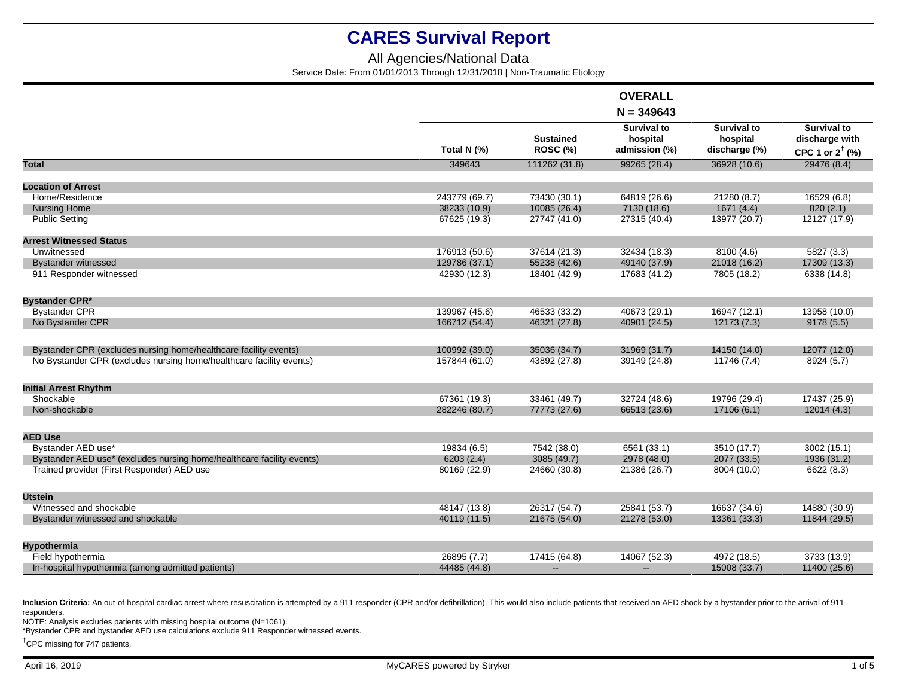### All Agencies/National Data

Service Date: From 01/01/2013 Through 12/31/2018 | Non-Traumatic Etiology

|                                                                       |               |                              | $N = 349643$                                    |                                                 |                                                                    |
|-----------------------------------------------------------------------|---------------|------------------------------|-------------------------------------------------|-------------------------------------------------|--------------------------------------------------------------------|
|                                                                       | Total N (%)   | <b>Sustained</b><br>ROSC (%) | <b>Survival to</b><br>hospital<br>admission (%) | <b>Survival to</b><br>hospital<br>discharge (%) | <b>Survival to</b><br>discharge with<br>CPC 1 or $2^{\dagger}$ (%) |
| <b>Total</b>                                                          | 349643        | 111262 (31.8)                | 99265 (28.4)                                    | 36928 (10.6)                                    | 29476 (8.4)                                                        |
| <b>Location of Arrest</b>                                             |               |                              |                                                 |                                                 |                                                                    |
| Home/Residence                                                        | 243779 (69.7) | 73430 (30.1)                 | 64819 (26.6)                                    | 21280 (8.7)                                     | 16529 (6.8)                                                        |
| <b>Nursing Home</b>                                                   | 38233 (10.9)  | 10085 (26.4)                 | 7130 (18.6)                                     | 1671 (4.4)                                      | 820(2.1)                                                           |
| <b>Public Setting</b>                                                 | 67625 (19.3)  | 27747 (41.0)                 | 27315 (40.4)                                    | 13977 (20.7)                                    | 12127 (17.9)                                                       |
| <b>Arrest Witnessed Status</b>                                        |               |                              |                                                 |                                                 |                                                                    |
| Unwitnessed                                                           | 176913 (50.6) | 37614 (21.3)                 | 32434 (18.3)                                    | 8100 (4.6)                                      | 5827 (3.3)                                                         |
| <b>Bystander witnessed</b>                                            | 129786 (37.1) | 55238 (42.6)                 | 49140 (37.9)                                    | 21018 (16.2)                                    | 17309 (13.3)                                                       |
| 911 Responder witnessed                                               | 42930 (12.3)  | 18401 (42.9)                 | 17683 (41.2)                                    | 7805 (18.2)                                     | 6338 (14.8)                                                        |
| <b>Bystander CPR*</b>                                                 |               |                              |                                                 |                                                 |                                                                    |
| <b>Bystander CPR</b>                                                  | 139967 (45.6) | 46533 (33.2)                 | 40673 (29.1)                                    | 16947 (12.1)                                    | 13958 (10.0)                                                       |
| No Bystander CPR                                                      | 166712 (54.4) | 46321 (27.8)                 | 40901 (24.5)                                    | 12173 (7.3)                                     | 9178(5.5)                                                          |
| Bystander CPR (excludes nursing home/healthcare facility events)      | 100992 (39.0) | 35036 (34.7)                 | 31969 (31.7)                                    | 14150 (14.0)                                    | 12077 (12.0)                                                       |
| No Bystander CPR (excludes nursing home/healthcare facility events)   | 157844 (61.0) | 43892 (27.8)                 | 39149 (24.8)                                    | 11746(7.4)                                      | 8924 (5.7)                                                         |
| <b>Initial Arrest Rhythm</b>                                          |               |                              |                                                 |                                                 |                                                                    |
| Shockable                                                             | 67361 (19.3)  | 33461 (49.7)                 | 32724 (48.6)                                    | 19796 (29.4)                                    | 17437 (25.9)                                                       |
| Non-shockable                                                         | 282246 (80.7) | 77773 (27.6)                 | 66513 (23.6)                                    | 17106 (6.1)                                     | 12014(4.3)                                                         |
| <b>AED Use</b>                                                        |               |                              |                                                 |                                                 |                                                                    |
| Bystander AED use*                                                    | 19834 (6.5)   | 7542 (38.0)                  | 6561 (33.1)                                     | 3510 (17.7)                                     | 3002(15.1)                                                         |
| Bystander AED use* (excludes nursing home/healthcare facility events) | 6203(2.4)     | 3085 (49.7)                  | 2978 (48.0)                                     | 2077 (33.5)                                     | 1936 (31.2)                                                        |
| Trained provider (First Responder) AED use                            | 80169 (22.9)  | 24660 (30.8)                 | 21386 (26.7)                                    | 8004 (10.0)                                     | 6622 (8.3)                                                         |
| <b>Utstein</b>                                                        |               |                              |                                                 |                                                 |                                                                    |
| Witnessed and shockable                                               | 48147 (13.8)  | 26317 (54.7)                 | 25841 (53.7)                                    | 16637 (34.6)                                    | 14880 (30.9)                                                       |
| Bystander witnessed and shockable                                     | 40119 (11.5)  | 21675 (54.0)                 | 21278 (53.0)                                    | 13361 (33.3)                                    | 11844 (29.5)                                                       |
| Hypothermia                                                           |               |                              |                                                 |                                                 |                                                                    |
| Field hypothermia                                                     | 26895 (7.7)   | 17415 (64.8)                 | 14067 (52.3)                                    | 4972 (18.5)                                     | 3733 (13.9)                                                        |
| In-hospital hypothermia (among admitted patients)                     | 44485 (44.8)  | $-$                          |                                                 | 15008 (33.7)                                    | 11400 (25.6)                                                       |

Inclusion Criteria: An out-of-hospital cardiac arrest where resuscitation is attempted by a 911 responder (CPR and/or defibrillation). This would also include patients that received an AED shock by a bystander prior to the responders.

NOTE: Analysis excludes patients with missing hospital outcome (N=1061).

\*Bystander CPR and bystander AED use calculations exclude 911 Responder witnessed events.

†CPC missing for 747 patients.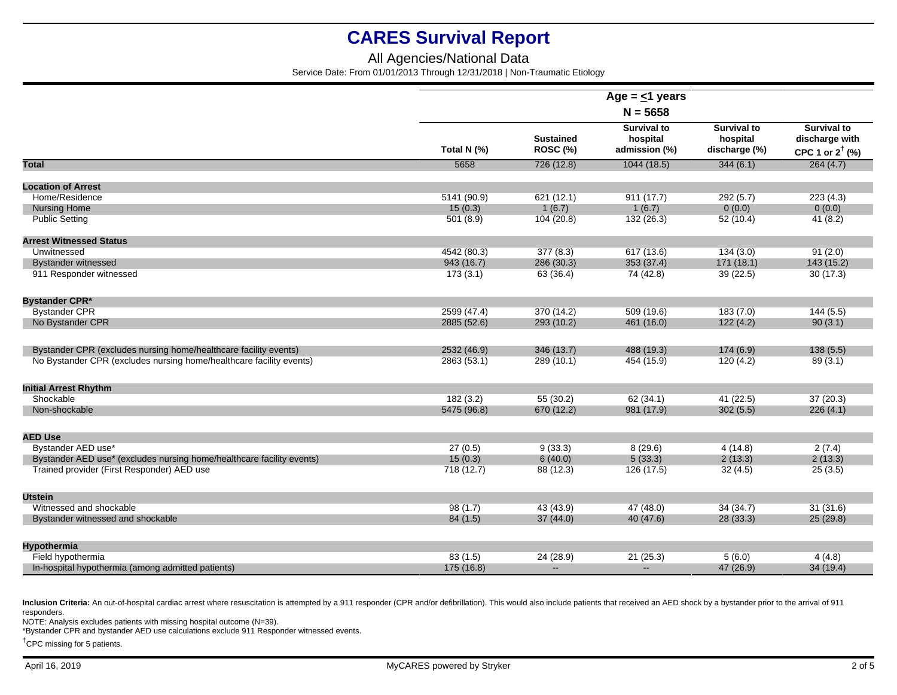### All Agencies/National Data

Service Date: From 01/01/2013 Through 12/31/2018 | Non-Traumatic Etiology

|                                                                       | Age = $\leq$ 1 years<br>$N = 5658$ |                                     |                                                 |                                                 |                                                                    |
|-----------------------------------------------------------------------|------------------------------------|-------------------------------------|-------------------------------------------------|-------------------------------------------------|--------------------------------------------------------------------|
|                                                                       |                                    |                                     |                                                 |                                                 |                                                                    |
|                                                                       | Total N (%)                        | <b>Sustained</b><br><b>ROSC (%)</b> | <b>Survival to</b><br>hospital<br>admission (%) | <b>Survival to</b><br>hospital<br>discharge (%) | <b>Survival to</b><br>discharge with<br>CPC 1 or $2^{\dagger}$ (%) |
| <b>Total</b>                                                          | 5658                               | 726 (12.8)                          | 1044 (18.5)                                     | 344(6.1)                                        | 264(4.7)                                                           |
| <b>Location of Arrest</b>                                             |                                    |                                     |                                                 |                                                 |                                                                    |
| Home/Residence                                                        | 5141 (90.9)                        | 621 (12.1)                          |                                                 | 292(5.7)                                        | 223(4.3)                                                           |
| <b>Nursing Home</b>                                                   | 15(0.3)                            | 1(6.7)                              | 911(17.7)<br>1(6.7)                             | 0(0.0)                                          | 0(0.0)                                                             |
| <b>Public Setting</b>                                                 |                                    | 104(20.8)                           | 132 (26.3)                                      | 52 (10.4)                                       | 41(8.2)                                                            |
|                                                                       | 501(8.9)                           |                                     |                                                 |                                                 |                                                                    |
| <b>Arrest Witnessed Status</b>                                        |                                    |                                     |                                                 |                                                 |                                                                    |
| Unwitnessed                                                           | 4542 (80.3)                        | 377(8.3)                            | 617 (13.6)                                      | 134(3.0)                                        | 91(2.0)                                                            |
| <b>Bystander witnessed</b>                                            | 943 (16.7)                         | 286 (30.3)                          | 353 (37.4)                                      | 171(18.1)                                       | 143 (15.2)                                                         |
| 911 Responder witnessed                                               | 173(3.1)                           | 63 (36.4)                           | 74 (42.8)                                       | 39 (22.5)                                       | 30(17.3)                                                           |
| <b>Bystander CPR*</b>                                                 |                                    |                                     |                                                 |                                                 |                                                                    |
| <b>Bystander CPR</b>                                                  | 2599 (47.4)                        | 370 (14.2)                          | 509 (19.6)                                      | 183(7.0)                                        | 144(5.5)                                                           |
| No Bystander CPR                                                      | 2885 (52.6)                        | 293 (10.2)                          | 461 (16.0)                                      | 122(4.2)                                        | 90(3.1)                                                            |
|                                                                       |                                    |                                     |                                                 |                                                 |                                                                    |
| Bystander CPR (excludes nursing home/healthcare facility events)      | 2532 (46.9)                        | 346 (13.7)                          | 488 (19.3)                                      | 174(6.9)                                        | 138(5.5)                                                           |
| No Bystander CPR (excludes nursing home/healthcare facility events)   | 2863 (53.1)                        | 289 (10.1)                          | 454 (15.9)                                      | 120(4.2)                                        | 89(3.1)                                                            |
| <b>Initial Arrest Rhythm</b>                                          |                                    |                                     |                                                 |                                                 |                                                                    |
| Shockable                                                             | 182(3.2)                           | 55(30.2)                            | 62(34.1)                                        | 41(22.5)                                        | 37(20.3)                                                           |
| Non-shockable                                                         | 5475 (96.8)                        | 670 (12.2)                          | 981 (17.9)                                      | 302(5.5)                                        | 226(4.1)                                                           |
|                                                                       |                                    |                                     |                                                 |                                                 |                                                                    |
| <b>AED Use</b>                                                        |                                    |                                     |                                                 |                                                 |                                                                    |
| Bystander AED use*                                                    | 27(0.5)                            | 9(33.3)                             | 8(29.6)                                         | 4(14.8)                                         | 2(7.4)                                                             |
| Bystander AED use* (excludes nursing home/healthcare facility events) | 15(0.3)                            | 6(40.0)                             | 5(33.3)                                         | 2(13.3)                                         | 2(13.3)                                                            |
| Trained provider (First Responder) AED use                            | 718(12.7)                          | 88 (12.3)                           | 126(17.5)                                       | 32(4.5)                                         | 25(3.5)                                                            |
| <b>Utstein</b>                                                        |                                    |                                     |                                                 |                                                 |                                                                    |
| Witnessed and shockable                                               | 98(1.7)                            | 43 (43.9)                           | 47 (48.0)                                       | 34 (34.7)                                       | 31(31.6)                                                           |
| Bystander witnessed and shockable                                     | 84 (1.5)                           | 37(44.0)                            | 40 (47.6)                                       | 28(33.3)                                        | 25(29.8)                                                           |
|                                                                       |                                    |                                     |                                                 |                                                 |                                                                    |
| Hypothermia                                                           |                                    |                                     |                                                 |                                                 |                                                                    |
| Field hypothermia                                                     | 83(1.5)                            | 24 (28.9)                           | 21(25.3)                                        | 5(6.0)                                          | 4(4.8)                                                             |
| In-hospital hypothermia (among admitted patients)                     | 175 (16.8)                         | $\overline{\phantom{a}}$            |                                                 | 47 (26.9)                                       | 34(19.4)                                                           |

Inclusion Criteria: An out-of-hospital cardiac arrest where resuscitation is attempted by a 911 responder (CPR and/or defibrillation). This would also include patients that received an AED shock by a bystander prior to the responders.

NOTE: Analysis excludes patients with missing hospital outcome (N=39).

\*Bystander CPR and bystander AED use calculations exclude 911 Responder witnessed events.

†CPC missing for 5 patients.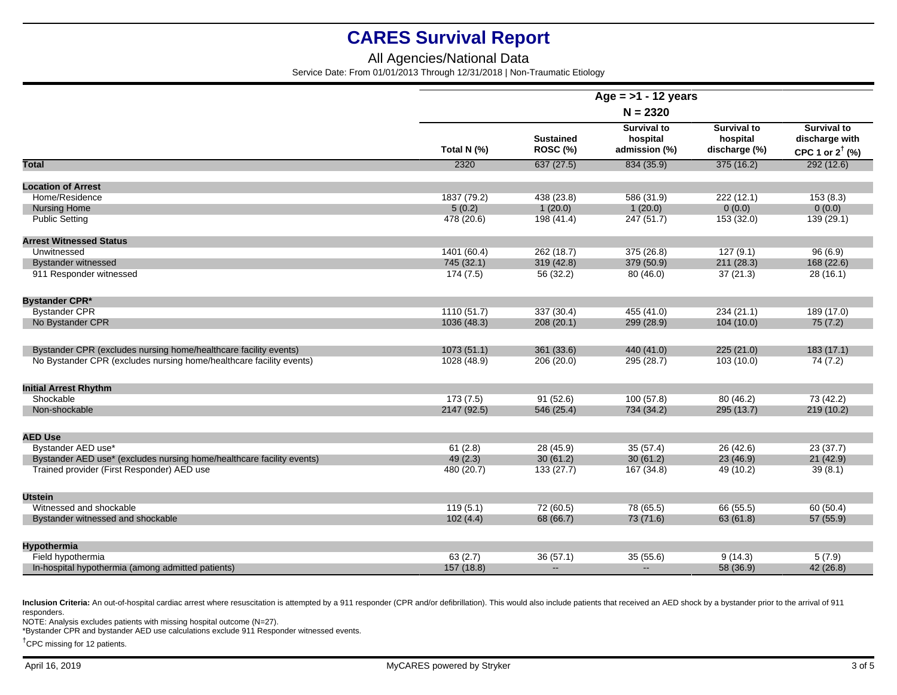### All Agencies/National Data

Service Date: From 01/01/2013 Through 12/31/2018 | Non-Traumatic Etiology

|                                                                       | Age = $>1$ - 12 years<br>$N = 2320$ |                              |                                                 |                                                 |                                                                    |
|-----------------------------------------------------------------------|-------------------------------------|------------------------------|-------------------------------------------------|-------------------------------------------------|--------------------------------------------------------------------|
|                                                                       |                                     |                              |                                                 |                                                 |                                                                    |
|                                                                       | Total N (%)                         | <b>Sustained</b><br>ROSC (%) | <b>Survival to</b><br>hospital<br>admission (%) | <b>Survival to</b><br>hospital<br>discharge (%) | <b>Survival to</b><br>discharge with<br>CPC 1 or $2^{\dagger}$ (%) |
| <b>Total</b>                                                          | 2320                                | 637(27.5)                    | 834 (35.9)                                      | 375(16.2)                                       | 292(12.6)                                                          |
| <b>Location of Arrest</b>                                             |                                     |                              |                                                 |                                                 |                                                                    |
| Home/Residence                                                        | 1837 (79.2)                         | 438 (23.8)                   | 586 (31.9)                                      | 222(12.1)                                       | 153(8.3)                                                           |
| <b>Nursing Home</b>                                                   | 5(0.2)                              | 1(20.0)                      | 1(20.0)                                         | 0(0.0)                                          | 0(0.0)                                                             |
| <b>Public Setting</b>                                                 | 478 (20.6)                          | 198 (41.4)                   | 247 (51.7)                                      | 153 (32.0)                                      | 139 (29.1)                                                         |
| <b>Arrest Witnessed Status</b>                                        |                                     |                              |                                                 |                                                 |                                                                    |
| Unwitnessed                                                           | 1401 (60.4)                         | 262 (18.7)                   | 375 (26.8)                                      | 127(9.1)                                        | 96(6.9)                                                            |
| <b>Bystander witnessed</b>                                            | 745 (32.1)                          | 319(42.8)                    | 379 (50.9)                                      | 211 (28.3)                                      | 168 (22.6)                                                         |
| 911 Responder witnessed                                               | 174(7.5)                            | 56 (32.2)                    | 80(46.0)                                        | 37(21.3)                                        | 28(16.1)                                                           |
|                                                                       |                                     |                              |                                                 |                                                 |                                                                    |
| <b>Bystander CPR*</b>                                                 |                                     |                              |                                                 |                                                 |                                                                    |
| <b>Bystander CPR</b>                                                  | 1110(51.7)                          | 337 (30.4)                   | 455 (41.0)                                      | 234(21.1)                                       | 189 (17.0)                                                         |
| No Bystander CPR                                                      | 1036 (48.3)                         | 208(20.1)                    | 299 (28.9)                                      | 104(10.0)                                       | 75(7.2)                                                            |
| Bystander CPR (excludes nursing home/healthcare facility events)      | 1073(51.1)                          | 361 (33.6)                   | 440 (41.0)                                      | 225(21.0)                                       | 183(17.1)                                                          |
| No Bystander CPR (excludes nursing home/healthcare facility events)   | 1028 (48.9)                         | 206 (20.0)                   | 295 (28.7)                                      | 103(10.0)                                       | 74(7.2)                                                            |
|                                                                       |                                     |                              |                                                 |                                                 |                                                                    |
| <b>Initial Arrest Rhythm</b>                                          |                                     |                              |                                                 |                                                 |                                                                    |
| Shockable                                                             | 173(7.5)                            | 91(52.6)                     | 100(57.8)                                       | 80(46.2)                                        | 73(42.2)                                                           |
| Non-shockable                                                         | 2147 (92.5)                         | 546 (25.4)                   | 734 (34.2)                                      | 295 (13.7)                                      | 219(10.2)                                                          |
|                                                                       |                                     |                              |                                                 |                                                 |                                                                    |
| <b>AED Use</b>                                                        |                                     |                              |                                                 |                                                 |                                                                    |
| Bystander AED use*                                                    | 61(2.8)                             | 28(45.9)                     | 35(57.4)                                        | 26(42.6)                                        | 23(37.7)                                                           |
| Bystander AED use* (excludes nursing home/healthcare facility events) | 49(2.3)                             | 30(61.2)                     | 30(61.2)                                        | 23(46.9)                                        | 21(42.9)                                                           |
| Trained provider (First Responder) AED use                            | 480 (20.7)                          | 133(27.7)                    | 167 (34.8)                                      | 49 (10.2)                                       | 39(8.1)                                                            |
| <b>Utstein</b>                                                        |                                     |                              |                                                 |                                                 |                                                                    |
| Witnessed and shockable                                               | 119(5.1)                            | 72(60.5)                     | 78 (65.5)                                       | 66 (55.5)                                       | 60(50.4)                                                           |
| Bystander witnessed and shockable                                     | 102(4.4)                            | 68 (66.7)                    | 73 (71.6)                                       | 63(61.8)                                        | 57 (55.9)                                                          |
|                                                                       |                                     |                              |                                                 |                                                 |                                                                    |
| Hypothermia                                                           |                                     |                              |                                                 |                                                 |                                                                    |
| Field hypothermia                                                     | 63(2.7)                             | 36(57.1)                     | 35(55.6)                                        | 9(14.3)                                         | 5(7.9)                                                             |
| In-hospital hypothermia (among admitted patients)                     | 157 (18.8)                          | $\sim$                       | $\sim$                                          | 58 (36.9)                                       | 42(26.8)                                                           |

Inclusion Criteria: An out-of-hospital cardiac arrest where resuscitation is attempted by a 911 responder (CPR and/or defibrillation). This would also include patients that received an AED shock by a bystander prior to the responders.

NOTE: Analysis excludes patients with missing hospital outcome (N=27).

\*Bystander CPR and bystander AED use calculations exclude 911 Responder witnessed events.

†CPC missing for 12 patients.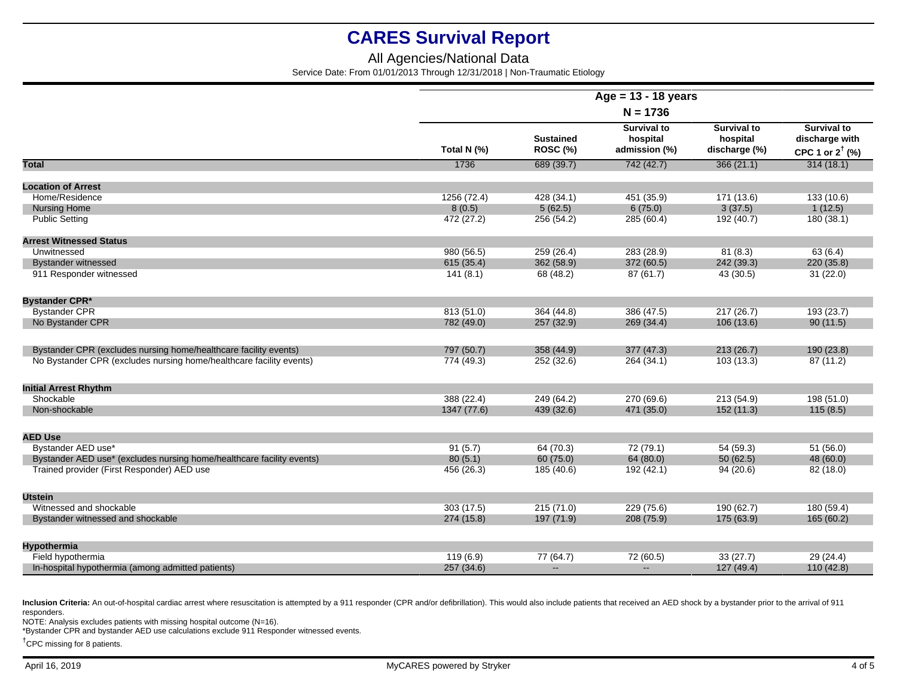### All Agencies/National Data

Service Date: From 01/01/2013 Through 12/31/2018 | Non-Traumatic Etiology

|                                                                       | Age = $13 - 18$ years<br>$N = 1736$ |                              |                                                 |                                                 |                                                                    |
|-----------------------------------------------------------------------|-------------------------------------|------------------------------|-------------------------------------------------|-------------------------------------------------|--------------------------------------------------------------------|
|                                                                       |                                     |                              |                                                 |                                                 |                                                                    |
|                                                                       | Total N (%)                         | <b>Sustained</b><br>ROSC (%) | <b>Survival to</b><br>hospital<br>admission (%) | <b>Survival to</b><br>hospital<br>discharge (%) | <b>Survival to</b><br>discharge with<br>CPC 1 or $2^{\dagger}$ (%) |
| Total                                                                 | 1736                                | 689 (39.7)                   | 742(42.7)                                       | 366(21.1)                                       | 314(18.1)                                                          |
| <b>Location of Arrest</b>                                             |                                     |                              |                                                 |                                                 |                                                                    |
| Home/Residence                                                        | 1256 (72.4)                         | 428 (34.1)                   | 451 (35.9)                                      | 171 (13.6)                                      | 133 (10.6)                                                         |
| <b>Nursing Home</b>                                                   | 8(0.5)                              | 5(62.5)                      | 6(75.0)                                         | 3(37.5)                                         | 1(12.5)                                                            |
| <b>Public Setting</b>                                                 | 472 (27.2)                          | 256 (54.2)                   | 285 (60.4)                                      | 192 (40.7)                                      | 180 (38.1)                                                         |
| <b>Arrest Witnessed Status</b>                                        |                                     |                              |                                                 |                                                 |                                                                    |
| Unwitnessed                                                           | 980 (56.5)                          | 259 (26.4)                   | 283 (28.9)                                      | 81(8.3)                                         | 63(6.4)                                                            |
| <b>Bystander witnessed</b>                                            | 615 (35.4)                          | 362 (58.9)                   | 372 (60.5)                                      | 242 (39.3)                                      | 220 (35.8)                                                         |
| 911 Responder witnessed                                               | 141(8.1)                            | 68 (48.2)                    | 87(61.7)                                        | 43(30.5)                                        | 31(22.0)                                                           |
| <b>Bystander CPR*</b>                                                 |                                     |                              |                                                 |                                                 |                                                                    |
| <b>Bystander CPR</b>                                                  | 813 (51.0)                          | 364 (44.8)                   | 386 (47.5)                                      | 217(26.7)                                       | 193 (23.7)                                                         |
| No Bystander CPR                                                      | 782 (49.0)                          | 257 (32.9)                   | 269 (34.4)                                      | 106 (13.6)                                      | 90(11.5)                                                           |
| Bystander CPR (excludes nursing home/healthcare facility events)      | 797 (50.7)                          | 358 (44.9)                   | 377 (47.3)                                      | 213(26.7)                                       | 190 (23.8)                                                         |
| No Bystander CPR (excludes nursing home/healthcare facility events)   | 774 (49.3)                          | 252 (32.6)                   | 264 (34.1)                                      | 103(13.3)                                       | 87 (11.2)                                                          |
| <b>Initial Arrest Rhythm</b>                                          |                                     |                              |                                                 |                                                 |                                                                    |
| Shockable                                                             | 388 (22.4)                          | 249 (64.2)                   | 270 (69.6)                                      | 213 (54.9)                                      | 198 (51.0)                                                         |
| Non-shockable                                                         | 1347 (77.6)                         | 439 (32.6)                   | 471 (35.0)                                      | 152(11.3)                                       | 115(8.5)                                                           |
| <b>AED Use</b>                                                        |                                     |                              |                                                 |                                                 |                                                                    |
| Bystander AED use*                                                    | 91(5.7)                             | 64 (70.3)                    | 72 (79.1)                                       | 54 (59.3)                                       | 51(56.0)                                                           |
| Bystander AED use* (excludes nursing home/healthcare facility events) | 80(5.1)                             | 60 (75.0)                    | 64 (80.0)                                       | 50(62.5)                                        | 48 (60.0)                                                          |
| Trained provider (First Responder) AED use                            | 456 (26.3)                          | 185 (40.6)                   | 192 (42.1)                                      | 94(20.6)                                        | 82 (18.0)                                                          |
| <b>Utstein</b>                                                        |                                     |                              |                                                 |                                                 |                                                                    |
| Witnessed and shockable                                               | 303(17.5)                           | 215 (71.0)                   | 229 (75.6)                                      | 190 (62.7)                                      | 180 (59.4)                                                         |
| Bystander witnessed and shockable                                     | 274 (15.8)                          | 197 (71.9)                   | 208 (75.9)                                      | 175 (63.9)                                      | 165 (60.2)                                                         |
| Hypothermia                                                           |                                     |                              |                                                 |                                                 |                                                                    |
| Field hypothermia                                                     | 119(6.9)                            | 77 (64.7)                    | 72 (60.5)                                       | 33(27.7)                                        | 29(24.4)                                                           |
| In-hospital hypothermia (among admitted patients)                     | 257 (34.6)                          | $\overline{a}$               |                                                 | 127 (49.4)                                      | 110(42.8)                                                          |

Inclusion Criteria: An out-of-hospital cardiac arrest where resuscitation is attempted by a 911 responder (CPR and/or defibrillation). This would also include patients that received an AED shock by a bystander prior to the responders.

NOTE: Analysis excludes patients with missing hospital outcome (N=16).

\*Bystander CPR and bystander AED use calculations exclude 911 Responder witnessed events.

†CPC missing for 8 patients.